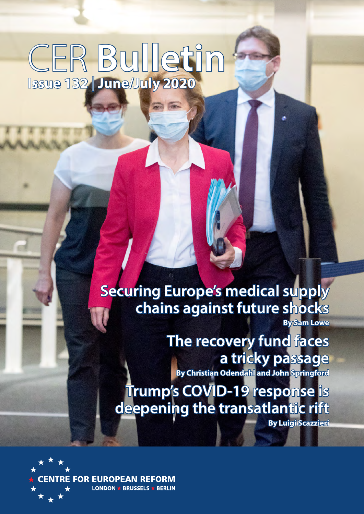## CER **Bulletin Issue 132** | **June/July 2020**

**Securing Europe's medical supply chains against future shocks By Sam Lowe**

> **The recovery fund faces a tricky passage By Christian Odendahl and John Springford**

**Trump's COVID-19 response is deepening the transatlantic rift** 

**By Luigi Scazzieri**

**FOR EUROPEAN REFORM** LONDON  $\star$  BRUSSELS  $\star$  BERLIN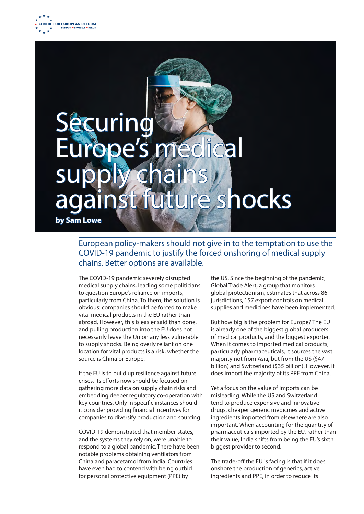

# Securin Irope's me supply chains st future shocks **by Sam Lowe**

## European policy-makers should not give in to the temptation to use the COVID-19 pandemic to justify the forced onshoring of medical supply chains. Better options are available.

The COVID-19 pandemic severely disrupted medical supply chains, leading some politicians to question Europe's reliance on imports, particularly from China. To them, the solution is obvious: companies should be forced to make vital medical products in the EU rather than abroad. However, this is easier said than done, and pulling production into the EU does not necessarily leave the Union any less vulnerable to supply shocks. Being overly reliant on one location for vital products is a risk, whether the source is China or Europe.

If the EU is to build up resilience against future crises, its efforts now should be focused on gathering more data on supply chain risks and embedding deeper regulatory co-operation with key countries. Only in specific instances should it consider providing financial incentives for companies to diversify production and sourcing.

COVID-19 demonstrated that member-states, and the systems they rely on, were unable to respond to a global pandemic. There have been notable problems obtaining ventilators from China and paracetamol from India. Countries have even had to contend with being outbid for personal protective equipment (PPE) by

the US. Since the beginning of the pandemic, Global Trade Alert, a group that monitors global protectionism, estimates that across 86 jurisdictions, 157 export controls on medical supplies and medicines have been implemented.

But how big is the problem for Europe? The EU is already one of the biggest global producers of medical products, and the biggest exporter. When it comes to imported medical products, particularly pharmaceuticals, it sources the vast majority not from Asia, but from the US (\$47 billion) and Switzerland (\$35 billion). However, it does import the majority of its PPE from China.

Yet a focus on the value of imports can be misleading. While the US and Switzerland tend to produce expensive and innovative drugs, cheaper generic medicines and active ingredients imported from elsewhere are also important. When accounting for the quantity of pharmaceuticals imported by the EU, rather than their value, India shifts from being the EU's sixth biggest provider to second.

The trade-off the EU is facing is that if it does onshore the production of generics, active ingredients and PPE, in order to reduce its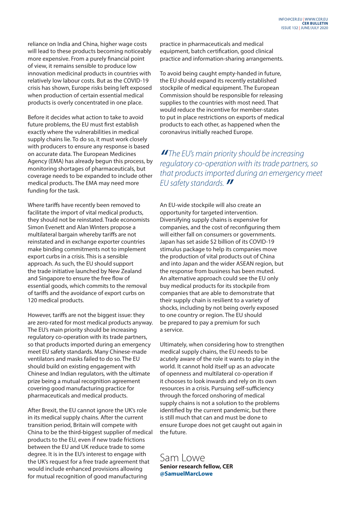reliance on India and China, higher wage costs will lead to these products becoming noticeably more expensive. From a purely financial point of view, it remains sensible to produce low innovation medicinal products in countries with relatively low labour costs. But as the COVID-19 crisis has shown, Europe risks being left exposed when production of certain essential medical products is overly concentrated in one place.

Before it decides what action to take to avoid future problems, the EU must first establish exactly where the vulnerabilities in medical supply chains lie. To do so, it must work closely with producers to ensure any response is based on accurate data. The European Medicines Agency (EMA) has already begun this process, by monitoring shortages of pharmaceuticals, but coverage needs to be expanded to include other medical products. The EMA may need more funding for the task.

Where tariffs have recently been removed to facilitate the import of vital medical products, they should not be reinstated. Trade economists Simon Evenett and Alan Winters propose a multilateral bargain whereby tariffs are not reinstated and in exchange exporter countries make binding commitments not to implement export curbs in a crisis. This is a sensible approach. As such, the EU should support the trade initiative launched by New Zealand and Singapore to ensure the free flow of essential goods, which commits to the removal of tariffs and the avoidance of export curbs on 120 medical products.

However, tariffs are not the biggest issue: they are zero-rated for most medical products anyway. The EU's main priority should be increasing regulatory co-operation with its trade partners, so that products imported during an emergency meet EU safety standards. Many Chinese-made ventilators and masks failed to do so. The EU should build on existing engagement with Chinese and Indian regulators, with the ultimate prize being a mutual recognition agreement covering good manufacturing practice for pharmaceuticals and medical products.

After Brexit, the EU cannot ignore the UK's role in its medical supply chains. After the current transition period, Britain will compete with China to be the third-biggest supplier of medical products to the EU, even if new trade frictions between the EU and UK reduce trade to some degree. It is in the EU's interest to engage with the UK's request for a free trade agreement that would include enhanced provisions allowing for mutual recognition of good manufacturing

practice in pharmaceuticals and medical equipment, batch certification, good clinical practice and information-sharing arrangements.

To avoid being caught empty-handed in future, the EU should expand its recently established stockpile of medical equipment. The European Commission should be responsible for releasing supplies to the countries with most need. That would reduce the incentive for member-states to put in place restrictions on exports of medical products to each other, as happened when the coronavirus initially reached Europe.

*" The EU's main priority should be increasing regulatory co-operation with its trade partners, so that products imported during an emergency meet EU safety standards. "*

An EU-wide stockpile will also create an opportunity for targeted intervention. Diversifying supply chains is expensive for companies, and the cost of reconfiguring them will either fall on consumers or governments. Japan has set aside \$2 billion of its COVID-19 stimulus package to help its companies move the production of vital products out of China and into Japan and the wider ASEAN region, but the response from business has been muted. An alternative approach could see the EU only buy medical products for its stockpile from companies that are able to demonstrate that their supply chain is resilient to a variety of shocks, including by not being overly exposed to one country or region. The EU should be prepared to pay a premium for such a service.

Ultimately, when considering how to strengthen medical supply chains, the EU needs to be acutely aware of the role it wants to play in the world. It cannot hold itself up as an advocate of openness and multilateral co-operation if it chooses to look inwards and rely on its own resources in a crisis. Pursuing self-sufficiency through the forced onshoring of medical supply chains is not a solution to the problems identified by the current pandemic, but there is still much that can and must be done to ensure Europe does not get caught out again in the future.

## Sam Lowe **Senior research fellow, CER @SamuelMarcLowe**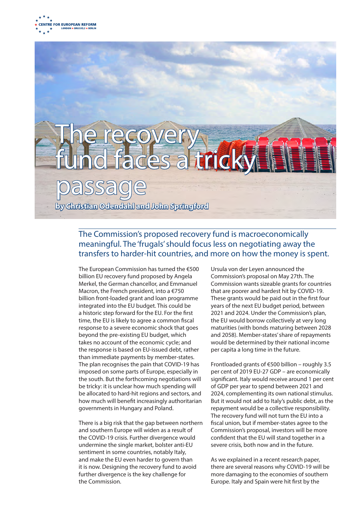# The recovery fund faces a tricky passage **by Christian Odendahl and John Springford**

## The Commission's proposed recovery fund is macroeconomically meaningful. The 'frugals' should focus less on negotiating away the transfers to harder-hit countries, and more on how the money is spent.

The European Commission has turned the €500 billion EU recovery fund proposed by Angela Merkel, the German chancellor, and Emmanuel Macron, the French president, into a €750 billion front-loaded grant and loan programme integrated into the EU budget. This could be a historic step forward for the EU. For the first time, the EU is likely to agree a common fiscal response to a severe economic shock that goes beyond the pre-existing EU budget, which takes no account of the economic cycle; and the response is based on EU-issued debt, rather than immediate payments by member-states. The plan recognises the pain that COVID-19 has imposed on some parts of Europe, especially in the south. But the forthcoming negotiations will be tricky: it is unclear how much spending will be allocated to hard-hit regions and sectors, and how much will benefit increasingly authoritarian governments in Hungary and Poland.

There is a big risk that the gap between northern and southern Europe will widen as a result of the COVID-19 crisis. Further divergence would undermine the single market, bolster anti-EU sentiment in some countries, notably Italy, and make the EU even harder to govern than it is now. Designing the recovery fund to avoid further divergence is the key challenge for the Commission.

Ursula von der Leyen announced the Commission's proposal on May 27th. The Commission wants sizeable grants for countries that are poorer and hardest hit by COVID-19. These grants would be paid out in the first four years of the next EU budget period, between 2021 and 2024. Under the Commission's plan, the EU would borrow collectively at very long maturities (with bonds maturing between 2028 and 2058). Member-states' share of repayments would be determined by their national income per capita a long time in the future.

Frontloaded grants of €500 billion – roughly 3.5 per cent of 2019 EU-27 GDP – are economically significant. Italy would receive around 1 per cent of GDP per year to spend between 2021 and 2024, complementing its own national stimulus. But it would not add to Italy's public debt, as the repayment would be a collective responsibility. The recovery fund will not turn the EU into a fiscal union, but if member-states agree to the Commission's proposal, investors will be more confident that the EU will stand together in a severe crisis, both now and in the future.

As we explained in a recent research paper, there are several reasons why COVID-19 will be more damaging to the economies of southern Europe. Italy and Spain were hit first by the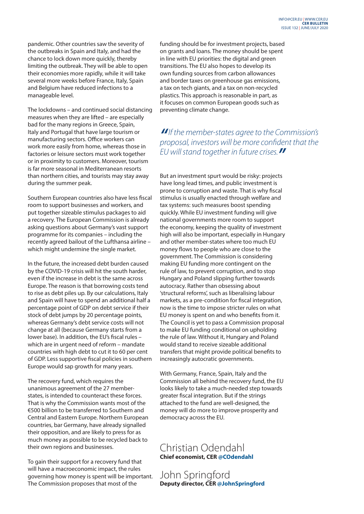pandemic. Other countries saw the severity of the outbreaks in Spain and Italy, and had the chance to lock down more quickly, thereby limiting the outbreak. They will be able to open their economies more rapidly, while it will take several more weeks before France, Italy, Spain and Belgium have reduced infections to a manageable level.

The lockdowns – and continued social distancing measures when they are lifted – are especially bad for the many regions in Greece, Spain, Italy and Portugal that have large tourism or manufacturing sectors. Office workers can work more easily from home, whereas those in factories or leisure sectors must work together or in proximity to customers. Moreover, tourism is far more seasonal in Mediterranean resorts than northern cities, and tourists may stay away during the summer peak.

Southern European countries also have less fiscal room to support businesses and workers, and put together sizeable stimulus packages to aid a recovery. The European Commission is already asking questions about Germany's vast support programme for its companies – including the recently agreed bailout of the Lufthansa airline – which might undermine the single market.

In the future, the increased debt burden caused by the COVID-19 crisis will hit the south harder, even if the increase in debt is the same across Europe. The reason is that borrowing costs tend to rise as debt piles up. By our calculations, Italy and Spain will have to spend an additional half a percentage point of GDP on debt service if their stock of debt jumps by 20 percentage points, whereas Germany's debt service costs will not change at all (because Germany starts from a lower base). In addition, the EU's fiscal rules – which are in urgent need of reform – mandate countries with high debt to cut it to 60 per cent of GDP. Less supportive fiscal policies in southern Europe would sap growth for many years.

The recovery fund, which requires the unanimous agreement of the 27 memberstates, is intended to counteract these forces. That is why the Commission wants most of the €500 billion to be transferred to Southern and Central and Eastern Europe. Northern European countries, bar Germany, have already signalled their opposition, and are likely to press for as much money as possible to be recycled back to their own regions and businesses.

To gain their support for a recovery fund that will have a macroeconomic impact, the rules governing how money is spent will be important. The Commission proposes that most of the

funding should be for investment projects, based on grants and loans. The money should be spent in line with EU priorities: the digital and green transitions. The EU also hopes to develop its own funding sources from carbon allowances and border taxes on greenhouse gas emissions, a tax on tech giants, and a tax on non-recycled plastics. This approach is reasonable in part, as it focuses on common European goods such as preventing climate change.

*"If the member-states agree to the Commission's proposal, investors will be more confident that the EU will stand together in future crises."*

But an investment spurt would be risky: projects have long lead times, and public investment is prone to corruption and waste. That is why fiscal stimulus is usually enacted through welfare and tax systems: such measures boost spending quickly. While EU investment funding will give national governments more room to support the economy, keeping the quality of investment high will also be important, especially in Hungary and other member-states where too much EU money flows to people who are close to the government. The Commission is considering making EU funding more contingent on the rule of law, to prevent corruption, and to stop Hungary and Poland slipping further towards autocracy. Rather than obsessing about 'structural reforms', such as liberalising labour markets, as a pre-condition for fiscal integration, now is the time to impose stricter rules on what EU money is spent on and who benefits from it. The Council is yet to pass a Commission proposal to make EU funding conditional on upholding the rule of law. Without it, Hungary and Poland would stand to receive sizeable additional transfers that might provide political benefits to increasingly autocratic governments.

With Germany, France, Spain, Italy and the Commission all behind the recovery fund, the EU looks likely to take a much-needed step towards greater fiscal integration. But if the strings attached to the fund are well-designed, the money will do more to improve prosperity and democracy across the EU.

## Christian Odendahl **Chief economist, CER @COdendahl**

John Springford **Deputy director, CER @JohnSpringford**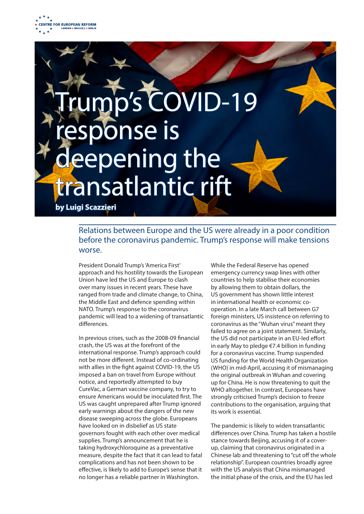

# COVID-19 se is bening the transatlantic rift **by Luigi Scazzieri**

## Relations between Europe and the US were already in a poor condition before the coronavirus pandemic. Trump's response will make tensions worse.

President Donald Trump's 'America First' approach and his hostility towards the European Union have led the US and Europe to clash over many issues in recent years. These have ranged from trade and climate change, to China, the Middle East and defence spending within NATO. Trump's response to the coronavirus pandemic will lead to a widening of transatlantic differences.

In previous crises, such as the 2008-09 financial crash, the US was at the forefront of the international response. Trump's approach could not be more different. Instead of co-ordinating with allies in the fight against COVID-19, the US imposed a ban on travel from Europe without notice, and reportedly attempted to buy CureVac, a German vaccine company, to try to ensure Americans would be inoculated first. The US was caught unprepared after Trump ignored early warnings about the dangers of the new disease sweeping across the globe. Europeans have looked on in disbelief as US state governors fought with each other over medical supplies. Trump's announcement that he is taking hydroxychloroquine as a preventative measure, despite the fact that it can lead to fatal complications and has not been shown to be effective, is likely to add to Europe's sense that it no longer has a reliable partner in Washington.

While the Federal Reserve has opened emergency currency swap lines with other countries to help stabilise their economies by allowing them to obtain dollars, the US government has shown little interest in international health or economic cooperation. In a late March call between G7 foreign ministers, US insistence on referring to coronavirus as the "Wuhan virus" meant they failed to agree on a joint statement. Similarly, the US did not participate in an EU-led effort in early May to pledge €7.4 billion in funding for a coronavirus vaccine. Trump suspended US funding for the World Health Organization (WHO) in mid-April, accusing it of mismanaging the original outbreak in Wuhan and covering up for China. He is now threatening to quit the WHO altogether. In contrast, Europeans have strongly criticised Trump's decision to freeze contributions to the organisation, arguing that its work is essential.

The pandemic is likely to widen transatlantic differences over China. Trump has taken a hostile stance towards Beijing, accusing it of a coverup, claiming that coronavirus originated in a Chinese lab and threatening to "cut off the whole relationship". European countries broadly agree with the US analysis that China mismanaged the initial phase of the crisis, and the EU has led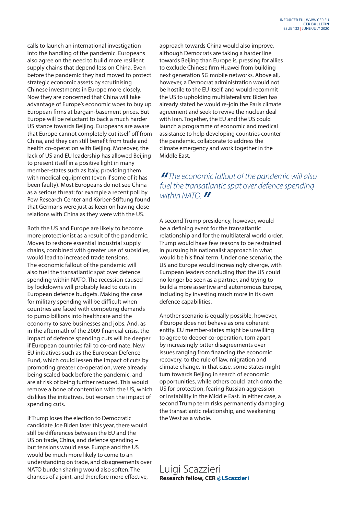calls to launch an international investigation into the handling of the pandemic. Europeans also agree on the need to build more resilient supply chains that depend less on China. Even before the pandemic they had moved to protect strategic economic assets by scrutinising Chinese investments in Europe more closely. Now they are concerned that China will take advantage of Europe's economic woes to buy up European firms at bargain-basement prices. But Europe will be reluctant to back a much harder US stance towards Beijing. Europeans are aware that Europe cannot completely cut itself off from China, and they can still benefit from trade and health co-operation with Beijing. Moreover, the lack of US and EU leadership has allowed Beijing to present itself in a positive light in many member-states such as Italy, providing them with medical equipment (even if some of it has been faulty). Most Europeans do not see China as a serious threat: for example a recent poll by Pew Research Center and Körber-Stiftung found that Germans were just as keen on having close relations with China as they were with the US.

Both the US and Europe are likely to become more protectionist as a result of the pandemic. Moves to reshore essential industrial supply chains, combined with greater use of subsidies, would lead to increased trade tensions. The economic fallout of the pandemic will also fuel the transatlantic spat over defence spending within NATO. The recession caused by lockdowns will probably lead to cuts in European defence budgets. Making the case for military spending will be difficult when countries are faced with competing demands to pump billions into healthcare and the economy to save businesses and jobs. And, as in the aftermath of the 2009 financial crisis, the impact of defence spending cuts will be deeper if European countries fail to co-ordinate. New EU initiatives such as the European Defence Fund, which could lessen the impact of cuts by promoting greater co-operation, were already being scaled back before the pandemic, and are at risk of being further reduced. This would remove a bone of contention with the US, which dislikes the initiatives, but worsen the impact of spending cuts.

If Trump loses the election to Democratic candidate Joe Biden later this year, there would still be differences between the EU and the US on trade, China, and defence spending – but tensions would ease. Europe and the US would be much more likely to come to an understanding on trade, and disagreements over NATO burden sharing would also soften. The chances of a joint, and therefore more effective,

approach towards China would also improve, although Democrats are taking a harder line towards Beijing than Europe is, pressing for allies to exclude Chinese firm Huawei from building next generation 5G mobile networks. Above all, however, a Democrat administration would not be hostile to the EU itself, and would recommit the US to upholding multilateralism: Biden has already stated he would re-join the Paris climate agreement and seek to revive the nuclear deal with Iran. Together, the EU and the US could launch a programme of economic and medical assistance to help developing countries counter the pandemic, collaborate to address the climate emergency and work together in the Middle East.

## *" The economic fallout of the pandemic will also fuel the transatlantic spat over defence spending within NATO. "*

A second Trump presidency, however, would be a defining event for the transatlantic relationship and for the multilateral world order. Trump would have few reasons to be restrained in pursuing his nationalist approach in what would be his final term. Under one scenario, the US and Europe would increasingly diverge, with European leaders concluding that the US could no longer be seen as a partner, and trying to build a more assertive and autonomous Europe, including by investing much more in its own defence capabilities.

Another scenario is equally possible, however, if Europe does not behave as one coherent entity. EU member-states might be unwilling to agree to deeper co-operation, torn apart by increasingly bitter disagreements over issues ranging from financing the economic recovery, to the rule of law, migration and climate change. In that case, some states might turn towards Beijing in search of economic opportunities, while others could latch onto the US for protection, fearing Russian aggression or instability in the Middle East. In either case, a second Trump term risks permanently damaging the transatlantic relationship, and weakening the West as a whole.

Luigi Scazzieri **Research fellow, CER @LScazzieri**